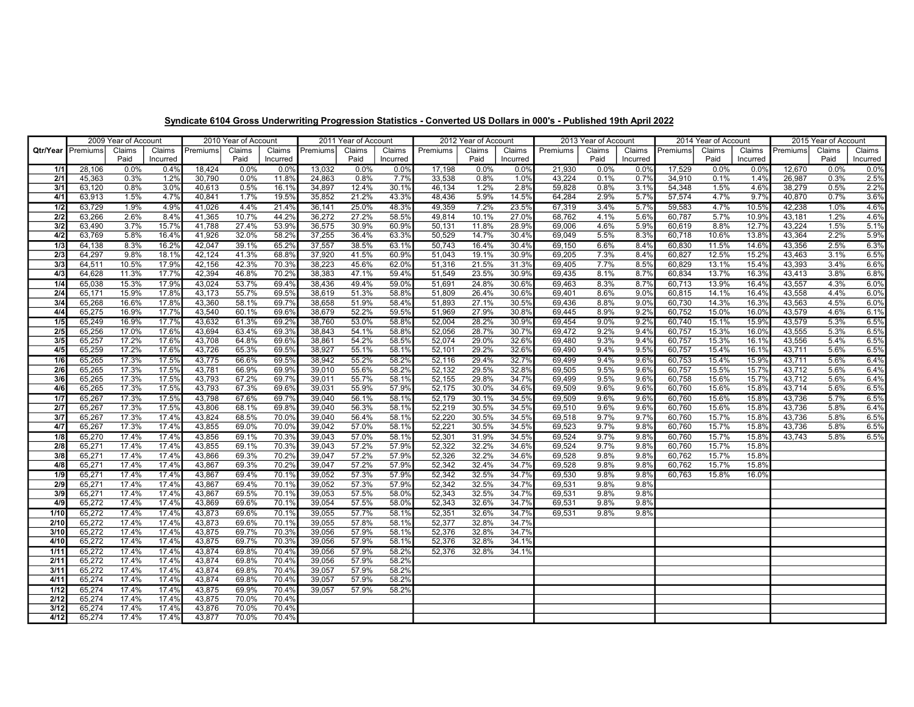|                  |                          | 2009 Year of Account |                    |                  | 2010 Year of Account |                    | 2011 Year of Account |                     |                    | 2012 Year of Account |                |                    | 2013 Year of Account |                |                    | 2014 Year of Account |                |                    | 2015 Year of Account |                |                    |
|------------------|--------------------------|----------------------|--------------------|------------------|----------------------|--------------------|----------------------|---------------------|--------------------|----------------------|----------------|--------------------|----------------------|----------------|--------------------|----------------------|----------------|--------------------|----------------------|----------------|--------------------|
|                  | <b>Qtr/Year</b> Premiums | Claims<br>Paid       | Claims<br>Incurred | Premiums         | Claims<br>Paid       | Claims<br>Incurred | Premiums             | Claims<br>Paid      | Claims<br>Incurred | Premiums             | Claims<br>Paid | Claims<br>Incurred | Premiums             | Claims<br>Paid | Claims<br>Incurred | Premiums             | Claims<br>Paid | Claims<br>Incurred | Premiums             | Claims<br>Paid | Claims<br>Incurred |
| 1/1              | 28,106                   | 0.0%                 | 0.4%               | 18,424           | $0.0\%$              | 0.0%               | 13,032               | 0.0%                | 0.0%               | 17,198               | 0.0%           | 0.0%               | 21,930               | 0.0%           | 0.0%               | 17,529               | 0.0%           | 0.0%               | 12,670               | 0.0%           | 0.0%               |
| 2/1              | 45,363                   | 0.3%                 | 1.2%               | 30,790           | 0.0%                 | 11.8%              | 24,863               | 0.8%                | 7.7%               | 33,538               | 0.8%           | 1.0%               | 43,224               | 0.1%           | 0.7%               | 34,910               | 0.1%           | 1.4%               | 26,987               | 0.3%           | 2.5%               |
| 3/1              | 63,120                   | 0.8%                 | 3.0%               | 40,613           | 0.5%                 | 16.1%              | 34,897               | 12.4%               | 30.1%              | 46,134               | 1.2%           | 2.8%               | 59,828               | 0.8%           | 3.1%               | 54,348               | 1.5%           | 4.6%               | 38,279               | 0.5%           | 2.2%               |
| 4/1              | 63,913                   | 1.5%                 | 4.7%               | 40,841           | 1.7%                 | 19.5%              | 35,852               | 21.2%               | 43.3%              | 48,436               | 5.9%           | 14.5%              | 64,284               | 2.9%           | 5.7%               | 57,574               | 4.7%           | 9.7%               | 40,870               | 0.7%           | 3.6%               |
| 1/2              | 63,729                   | 1.9%                 | 4.9%               | 41,026           | 4.4%                 | 21.4%              | 36,141               | 25.0%               | 48.3%              | 49,359               | 7.2%           | 23.5%              | 67,319               | 3.4%           | 5.7%               | 59,583               | 4.7%           | 10.5%              | 42,238               | 1.0%           | 4.6%               |
| $\overline{2/2}$ | 63,266                   | 2.6%                 | 8.4%               | 41,365           | 10.7%                | 44.2%              | 36,272               | $\overline{27.2\%}$ | 58.5%              | 49,814               | 10.1%          | 27.0%              | 68,762               | 4.1%           | 5.6%               | 60,787               | 5.7%           | 10.9%              | 43,181               | 1.2%           | 4.6%               |
| 3/2              | 63,490                   | 3.7%                 | 15.7%              | 41,788           | 27.4%                | 53.9%              | 36,575               | 30.9%               | 60.9%              | 50,131               | 11.8%          | 28.9%              | 69,006               | 4.6%           | 5.9%               | 60,619               | 8.8%           | 12.7%              | 43,224               | 1.5%           | 5.1%               |
| 4/2              | 63,769                   | 5.8%                 | 16.4%              | 41,926           | 32.0%                | 58.2%              | 37,255               | 36.4%               | 63.3%              | 50,529               | 14.7%          | 30.4%              | 69,049               | 5.5%           | 8.3%               | 60,718               | 10.6%          | 13.8%              | 43,364               | 2.2%           | 5.9%               |
| 1/3              | 64,138                   | 8.3%                 | 16.2%              | 42,047           | 39.1%                | 65.2%              | 37,557               | 38.5%               | 63.1%              | 50,743               | 16.4%          | 30.4%              | 69,150               | 6.6%           | 8.4%               | 60,830               | 11.5%          | 14.6%              | 43,356               | 2.5%           | 6.3%               |
| 2/3              | 64,297                   | 9.8%                 | 18.1%              | 42,124           | 41.3%                | 68.8%              | 37,920               | 41.5%               | 60.9%              | 51,043               | 19.1%          | 30.9%              | 69,205               | 7.3%           | 8.4%               | 60,827               | 12.5%          | 15.2%              | 43,463               | 3.1%           | 6.5%               |
| 3/3              | 64,511                   | 10.5%                | 17.9%              | 42,156           | 42.3%                | 70.3%              | 38,223               | 45.6%               | 62.0%              | 51,316               | 21.5%          | 31.3%              | 69,405               | 7.7%           | 8.5%               | 60,829               | 13.1%          | 15.4%              | 43,393               | 3.4%           | 6.6%               |
| 4/3              | 64,628                   | 11.3%                | 17.7%              | 42,394           | 46.8%                | 70.2%              | 38,383               | 47.1%               | 59.4%              | 51,549               | 23.5%          | 30.9%              | 69,435               | 8.1%           | 8.7%               | 60,834               | 13.7%          | 16.3%              | 43,413               | 3.8%           | 6.8%               |
| 1/4              | 65,038                   | 15.3%                | 17.9%              | 43,024           | 53.7%                | 69.4%              | 38,436               | 49.4%               | 59.0%              | 51,691               | 24.8%          | 30.6%              | 69,463               | 8.3%           | 8.7%               | 60,713               | 13.9%          | 16.4%              | 43,557               | 4.3%           | 6.0%               |
| 2/4              | 65,171                   | 15.9%                | 17.8%              | 43,173           | 55.7%                | 69.5%              | 38,619               | 51.3%               | 58.8%              | 51,809               | 26.4%          | 30.6%              | 69,401               | 8.6%           | 9.0%               | 60,815               | 14.1%          | 16.4%              | 43,558               | 4.4%           | 6.0%               |
| 3/4              | 65,268                   | 16.6%                | 17.8%              | 43,360           | 58.1%                | 69.7%              | 38,658               | 51.9%               | 58.4%              | 51,893               | 27.1%          | 30.5%              | 69,436               | 8.8%           | 9.0%               | 60,730               | 14.3%          | 16.3%              | 43,563               | 4.5%           | 6.0%               |
| 4/4              | 65,275                   | 16.9%                | 17.7%              | 43,540           | 60.1%                | 69.6%              | 38,679               | 52.2%               | 59.5%              | 51,969               | 27.9%          | 30.8%              | 69,445               | 8.9%           | 9.2%               | 60,752               | 15.0%          | 16.0%              | 43,579               | 4.6%           | 6.1%               |
| 1/5              | 65,249                   | 16.9%                | 17.7%              | 43,632           | 61.3%                | 69.2%              | 38,760               | 53.0%               | 58.8%              | 52,004               | 28.2%          | 30.9%              | 69,454               | 9.0%           | 9.2%               | 60,740               | 15.1%          | 15.9%              | 43,579               | 5.3%           | 6.5%               |
| 2/5              | 65,256                   | 17.0%                | 17.6%              | 43,694           | 63.4%                | 69.3%              | 38,843               | 54.1%               | 58.8%              | 52,056               | 28.7%          | 30.7%              | 69,472               | 9.2%           | 9.4%               | 60,757               | 15.3%          | 16.0%              | 43,555               | 5.3%           | 6.5%               |
| 3/5              | 65,257                   | 17.2%                | 17.6%              | 43,708           | 64.8%                | 69.6%              | 38,861               | 54.2%               | 58.5%              | 52,074               | 29.0%          | 32.6%              | 69,480               | 9.3%           | 9.4%               | 60,757               | 15.3%          | 16.1%              | 43,556               | 5.4%           | 6.5%               |
| 4/5              | 65,259                   | 17.2%                | 17.6%              | 43,726           | 65.3%                | 69.5%              | 38,927               | 55.1%               | 58.1%              | 52,101               | 29.2%          | 32.6%              | 69,490               | 9.4%           | 9.5%               | 60,757               | 15.4%          | 16.1%              | 43,711               | 5.6%           | 6.5%               |
| 1/6              | 65,265                   | 17.3%                | 17.5%              | 43,775           | 66.6%                | 69.5%              | 38,942               | 55.2%               | 58.2%              | 52,116               | 29.4%          | 32.7%              | 69,499               | 9.4%           | 9.6%               | 60,753               | 15.4%          | 15.9%              | 43,711               | 5.6%           | 6.4%               |
| 2/6              | 65,265                   | 17.3%                | 17.5%              | 43,781           | 66.9%                | 69.9%              | 39,010               | 55.6%               | 58.2%              | 52,132               | 29.5%          | 32.8%              | 69,505               | 9.5%           | 9.6%               | 60,757               | 15.5%          | 15.7%              | 43,712               | 5.6%           | 6.4%               |
| 3/6              | 65,265                   | 17.3%                | 17.5%              | 43,793           | 67.2%                | 69.7%              | 39,011               | 55.7%               | 58.1%              | 52,155               | 29.8%          | 34.7%              | 69,499               | 9.5%           | 9.6%               | 60,758               | 15.6%          | 15.7%              | 43,712               | 5.6%           | 6.4%<br>6.5%       |
| 4/6              | 65,265                   | 17.3%                | 17.5%              | 43,793           | 67.3%                | 69.6%              | 39,031               | 55.9%               | 57.9%              | 52,175               | 30.0%          | 34.6%              | 69,509               | 9.6%           | 9.6%               | 60,760               | 15.6%          | 15.8%              | 43,714               | 5.6%           |                    |
| 1/7              | 65,267                   | 17.3%<br>17.3%       | 17.5%<br>17.5%     | 43,798           | 67.6%                | 69.7%              | 39,040               | 56.1%               | 58.1%<br>58.1%     | 52,179               | 30.1%<br>30.5% | 34.5%              | 69,509               | 9.6%<br>9.6%   | 9.6%               | 60.760               | 15.6%          | 15.8%              | 43,736               | 5.7%           | 6.5%               |
| 2/7<br>3/7       | 65,267                   | 17.3%                | 17.4%              | 43,806<br>43,824 | 68.1%<br>68.5%       | 69.8%<br>70.0%     | 39,040<br>39,040     | 56.3%<br>56.4%      | 58.1%              | 52,219<br>52,220     | 30.5%          | 34.5%<br>34.5%     | 69,510<br>69,518     | 9.7%           | 9.6%<br>9.7%       | 60,760<br>60.760     | 15.6%<br>15.7% | 15.8%<br>15.8%     | 43,736<br>43,736     | 5.8%<br>5.8%   | 6.4%<br>6.5%       |
| 4/7              | 65,267<br>65,267         | 17.3%                | 17.4%              | 43,855           | 69.0%                | 70.0%              | 39,042               | 57.0%               | 58.1%              | 52,221               | 30.5%          | 34.5%              | 69,523               | 9.7%           | 9.8%               | 60,760               | 15.7%          | 15.8%              | 43,736               | 5.8%           | 6.5%               |
| 1/8              | 65,270                   | 17.4%                | 17.4%              | 43,856           | 69.1%                | 70.3%              | 39,043               | 57.0%               | 58.1%              | 52,301               | 31.9%          | 34.5%              | 69,524               | 9.7%           | 9.8%               | 60,760               | 15.7%          | 15.8%              | 43,743               | 5.8%           | 6.5%               |
| 2/8              | 65,271                   | 17.4%                | 17.4%              | 43,855           | 69.1%                | 70.3%              | 39,043               | 57.2%               | 57.9%              | 52,322               | 32.2%          | 34.6%              | 69,524               | 9.7%           | 9.8%               | 60,760               | 15.7%          | 15.8%              |                      |                |                    |
| 3/8              | 65,271                   | 17.4%                | 17.4%              | 43,866           | 69.3%                | 70.2%              | 39,047               | 57.2%               | 57.9%              | 52,326               | 32.2%          | 34.6%              | 69,528               | 9.8%           | 9.8%               | 60,762               | 15.7%          | 15.8%              |                      |                |                    |
| 4/8              | 65,271                   | 17.4%                | 17.4%              | 43,867           | 69.3%                | 70.2%              | 39,047               | 57.2%               | 57.9%              | 52,342               | 32.4%          | 34.7%              | 69,528               | 9.8%           | 9.8%               | 60,762               | 15.7%          | 15.8%              |                      |                |                    |
| 1/9              | 65,271                   | 17.4%                | 17.4%              | 43,867           | 69.4%                | 70.1%              | 39,052               | 57.3%               | 57.9%              | 52,342               | 32.5%          | 34.7%              | 69,530               | 9.8%           | 9.8%               | 60.763               | 15.8%          | 16.0%              |                      |                |                    |
| 2/9              | 65,271                   | 17.4%                | 17.4%              | 43,867           | 69.4%                | 70.1%              | 39,052               | 57.3%               | 57.9%              | 52,342               | 32.5%          | 34.7%              | 69,531               | 9.8%           | 9.8%               |                      |                |                    |                      |                |                    |
| 3/9              | 65,271                   | 17.4%                | 17.4%              | 43,867           | 69.5%                | 70.1%              | 39,053               | 57.5%               | 58.0%              | 52,343               | 32.5%          | 34.7%              | 69,531               | 9.8%           | 9.8%               |                      |                |                    |                      |                |                    |
| 4/9              | 65,272                   | 17.4%                | 17.4%              | 43,869           | 69.6%                | 70.1%              | 39,054               | 57.5%               | 58.0%              | 52,343               | 32.6%          | 34.7%              | 69,531               | 9.8%           | 9.8%               |                      |                |                    |                      |                |                    |
| 1/10             | 65,272                   | 17.4%                | 17.4%              | 43,873           | 69.6%                | 70.1%              | 39,055               | 57.7%               | 58.1%              | 52,351               | 32.6%          | 34.7%              | 69,531               | 9.8%           | 9.8%               |                      |                |                    |                      |                |                    |
| 2/10             | 65,272                   | 17.4%                | 17.4%              | 43,873           | 69.6%                | 70.1%              | 39,055               | 57.8%               | 58.1%              | 52,377               | 32.8%          | 34.7%              |                      |                |                    |                      |                |                    |                      |                |                    |
| 3/10             | 65,272                   | 17.4%                | 17.4%              | 43,875           | 69.7%                | 70.3%              | 39,056               | 57.9%               | 58.1%              | 52,376               | 32.8%          | 34.7%              |                      |                |                    |                      |                |                    |                      |                |                    |
| 4/10             | 65,272                   | 17.4%                | 17.4%              | 43,875           | 69.7%                | 70.3%              | 39,056               | 57.9%               | 58.1%              | 52,376               | 32.8%          | 34.1%              |                      |                |                    |                      |                |                    |                      |                |                    |
| 1/11             | 65,272                   | 17.4%                | 17.4%              | 43,874           | 69.8%                | 70.4%              | 39,056               | 57.9%               | 58.2%              | 52,376               | 32.8%          | 34.1%              |                      |                |                    |                      |                |                    |                      |                |                    |
| 2/11             | 65,272                   | 17.4%                | 17.4%              | 43,874           | 69.8%                | 70.4%              | 39,056               | 57.9%               | 58.2%              |                      |                |                    |                      |                |                    |                      |                |                    |                      |                |                    |
| 3/11             | 65,272                   | 17.4%                | 17.4%              | 43,874           | 69.8%                | 70.4%              | 39,057               | 57.9%               | 58.2%              |                      |                |                    |                      |                |                    |                      |                |                    |                      |                |                    |
| 4/11             | 65,274                   | 17.4%                | 17.4%              | 43,874           | 69.8%                | 70.4%              | 39,057               | 57.9%               | 58.2%              |                      |                |                    |                      |                |                    |                      |                |                    |                      |                |                    |
| 1/12             | 65,274                   | 17.4%                | 17.4%              | 43,875           | 69.9%                | 70.4%              | 39,057               | 57.9%               | 58.2%              |                      |                |                    |                      |                |                    |                      |                |                    |                      |                |                    |
| 2/12             | 65,274                   | 17.4%                | 17.4%              | 43,875           | 70.0%                | 70.4%              |                      |                     |                    |                      |                |                    |                      |                |                    |                      |                |                    |                      |                |                    |
| 3/12             | 65,274                   | 17.4%                | 17.4%              | 43,876           | 70.0%                | 70.4%              |                      |                     |                    |                      |                |                    |                      |                |                    |                      |                |                    |                      |                |                    |
| 4/12             | 65,274                   | 17.4%                | 17.4%              | 43,877           | 70.0%                | 70.4%              |                      |                     |                    |                      |                |                    |                      |                |                    |                      |                |                    |                      |                |                    |

## Syndicate 6104 Gross Underwriting Progression Statistics - Converted US Dollars in 000's - Published 19th April 2022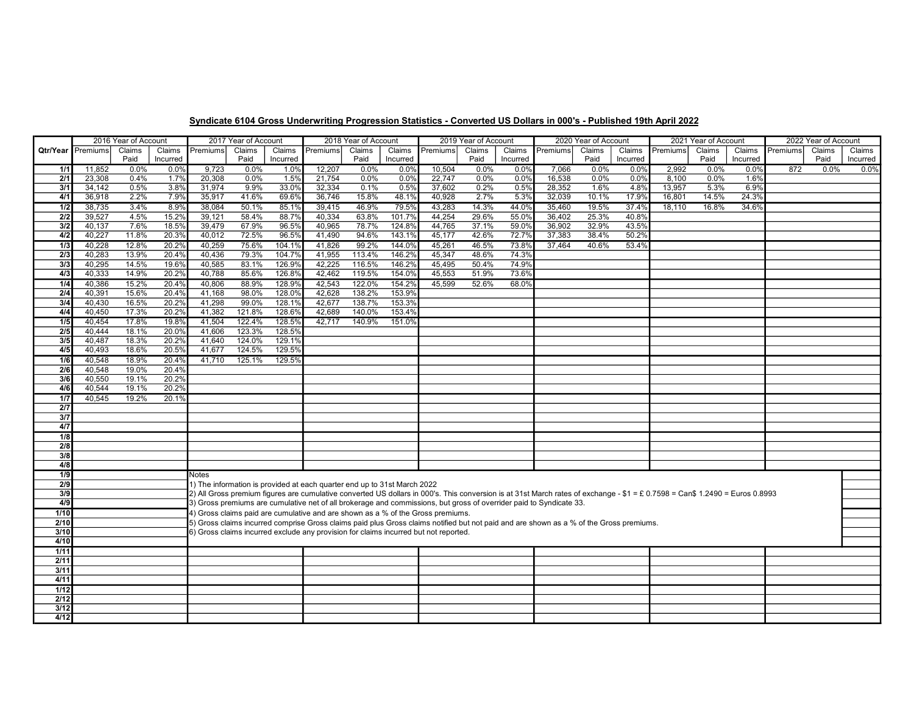|                  | 2016 Year of Account     |                |                |                                                                                                                                         | 2017 Year of Account |                  | 2018 Year of Account                                                     |                  |                  | 2019 Year of Account                                                                 |                |                |                  | 2020 Year of Account |                | 2021 Year of Account                                                                                                                                                         |        |          | 2022 Year of Account |        |          |
|------------------|--------------------------|----------------|----------------|-----------------------------------------------------------------------------------------------------------------------------------------|----------------------|------------------|--------------------------------------------------------------------------|------------------|------------------|--------------------------------------------------------------------------------------|----------------|----------------|------------------|----------------------|----------------|------------------------------------------------------------------------------------------------------------------------------------------------------------------------------|--------|----------|----------------------|--------|----------|
|                  | <b>Qtr/Year</b> Premiums | Claims         | Claims         | Premiums                                                                                                                                | Claims               | Claims           | Premiums                                                                 | Claims           | Claims           | Premiums                                                                             | Claims         | Claims         | Premiums         | Claims               | Claims         | Premiums                                                                                                                                                                     | Claims | Claims   | Premiums             | Claims | Claims   |
|                  |                          | Paid           | Incurred       |                                                                                                                                         | Paid                 | Incurred         |                                                                          | Paid             | Incurred         |                                                                                      | Paid           | Incurred       |                  | Paid                 | Incurred       |                                                                                                                                                                              | Paid   | Incurred |                      | Paid   | Incurred |
| 1/1              | 11,852                   | $0.0\%$        | 0.0%           | 9,723                                                                                                                                   | 0.0%                 | 1.0%             | 12,207                                                                   | 0.0%             | 0.0%             | 10,504                                                                               | $0.0\%$        | 0.0%           | 7,066            | 0.0%                 | 0.0%           | 2,992                                                                                                                                                                        | 0.0%   | 0.0%     | 872                  | 0.0%   | 0.0%     |
| 2/1              | 23,308                   | 0.4%           | 1.7%           | 20,308                                                                                                                                  | 0.0%                 | 1.5%             | 21,754                                                                   | 0.0%             | 0.0%             | 22,747                                                                               | 0.0%           | 0.0%           | 16,538           | 0.0%                 | 0.0%           | 8,100                                                                                                                                                                        | 0.0%   | 1.6%     |                      |        |          |
| 3/1              | 34,142                   | 0.5%           | 3.8%           | 31,974                                                                                                                                  | 9.9%                 | 33.0%            | 32,334                                                                   | 0.1%             | 0.5%             | 37,602                                                                               | 0.2%           | 0.5%           | 28,352           | 1.6%                 | 4.8%           | 13,957                                                                                                                                                                       | 5.3%   | 6.9%     |                      |        |          |
| 4/1              | 36.918                   | 2.2%           | 7.9%           | 35.917                                                                                                                                  | 41.6%                | 69.6%            | 36.746                                                                   | 15.8%            | 48.1%            | 40,928                                                                               | 2.7%           | 5.3%           | 32,039           | 10.1%                | 17.9%          | 16.801                                                                                                                                                                       | 14.5%  | 24.3%    |                      |        |          |
| 1/2              | 38,735                   | 3.4%           | 8.9%           | 38,084                                                                                                                                  | 50.1%                | 85.1%            | 39,415                                                                   | 46.9%            | 79.5%            | 43,283                                                                               | 14.3%          | 44.0%          | 35,460           | 19.5%                | 37.4%          | 18.110                                                                                                                                                                       | 16.8%  | 34.6%    |                      |        |          |
| 2/2              | 39,527                   | 4.5%           | 15.2%          | 39,121                                                                                                                                  | 58.4%                | 88.7%            | 40,334                                                                   | 63.8%            | 101.7%           | 44,254                                                                               | 29.6%          | 55.0%          | 36,402           | 25.3%                | 40.8%          |                                                                                                                                                                              |        |          |                      |        |          |
| 3/2<br>4/2       | 40,137<br>40,227         | 7.6%<br>11.8%  | 18.5%<br>20.3% | 39,479<br>40,012                                                                                                                        | 67.9%<br>72.5%       | 96.5%<br>96.5%   | 40,965<br>41,490                                                         | 78.7%<br>94.6%   | 124.8%<br>143.19 | 44,765<br>45,177                                                                     | 37.1%<br>42.6% | 59.0%<br>72.7% | 36,902<br>37,383 | 32.9%<br>38.4%       | 43.5%<br>50.2% |                                                                                                                                                                              |        |          |                      |        |          |
|                  |                          |                |                |                                                                                                                                         |                      |                  |                                                                          |                  |                  |                                                                                      |                |                |                  |                      |                |                                                                                                                                                                              |        |          |                      |        |          |
| 1/3              | 40,228                   | 12.8%<br>13.9% | 20.2%          | 40,259                                                                                                                                  | 75.6%                | 104.1%           | 41,826                                                                   | 99.2%            | 144.0%           | 45,261<br>45,347                                                                     | 46.5%          | 73.8%<br>74.3% | 37,464           | 40.6%                | 53.4%          |                                                                                                                                                                              |        |          |                      |        |          |
| 2/3<br>3/3       | 40,283<br>40.295         | 14.5%          | 20.4%<br>19.6% | 40,436<br>40,585                                                                                                                        | 79.3%<br>83.1%       | 104.7%<br>126.9% | 41,955<br>42,225                                                         | 113.4%<br>116.5% | 146.2%<br>146.2% | 45,495                                                                               | 48.6%<br>50.4% | 74.9%          |                  |                      |                |                                                                                                                                                                              |        |          |                      |        |          |
| 4/3              | 40,333                   | 14.9%          | 20.2%          | 40,788                                                                                                                                  | 85.6%                | 126.8%           | 42,462                                                                   | 119.5%           | 154.0%           | 45,553                                                                               | 51.9%          | 73.6%          |                  |                      |                |                                                                                                                                                                              |        |          |                      |        |          |
| 1/4              | 40,386                   | 15.2%          | 20.4%          | 40,806                                                                                                                                  | 88.9%                | 128.9%           | 42,543                                                                   | 122.0%           | 154.2%           | 45,599                                                                               | 52.6%          | 68.0%          |                  |                      |                |                                                                                                                                                                              |        |          |                      |        |          |
| 2/4              | 40,391                   | 15.6%          | 20.4%          | 41,168                                                                                                                                  | 98.0%                | 128.0%           | 42,628                                                                   | 138.2%           | 153.9%           |                                                                                      |                |                |                  |                      |                |                                                                                                                                                                              |        |          |                      |        |          |
| 3/4              | 40.430                   | 16.5%          | 20.2%          | 41,298                                                                                                                                  | 99.0%                | 128.1%           | 42.677                                                                   | 138.7%           | 153.3%           |                                                                                      |                |                |                  |                      |                |                                                                                                                                                                              |        |          |                      |        |          |
| 4/4              | 40,450                   | 17.3%          | 20.2%          | 41,382                                                                                                                                  | 121.8%               | 128.6%           | 42,689                                                                   | 140.0%           | 153.4%           |                                                                                      |                |                |                  |                      |                |                                                                                                                                                                              |        |          |                      |        |          |
| 1/5              | 40,454                   | 17.8%          | 19.8%          | 41,504                                                                                                                                  | 122.4%               | 128.5%           | 42,717                                                                   | 140.9%           | 151.0%           |                                                                                      |                |                |                  |                      |                |                                                                                                                                                                              |        |          |                      |        |          |
| $\overline{2/5}$ | 40.444                   | 18.1%          | 20.0%          | 41.606                                                                                                                                  | 123.3%               | 128.5%           |                                                                          |                  |                  |                                                                                      |                |                |                  |                      |                |                                                                                                                                                                              |        |          |                      |        |          |
| 3/5              | 40.487                   | 18.3%          | 20.2%          | 41.640                                                                                                                                  | 124.0%               | 129.1%           |                                                                          |                  |                  |                                                                                      |                |                |                  |                      |                |                                                                                                                                                                              |        |          |                      |        |          |
| 4/5              | 40,493                   | 18.6%          | 20.5%          | 41,677                                                                                                                                  | 124.5%               | 129.5%           |                                                                          |                  |                  |                                                                                      |                |                |                  |                      |                |                                                                                                                                                                              |        |          |                      |        |          |
| 1/6              | 40,548                   | 18.9%          | 20.4%          | 41,710                                                                                                                                  | 125.1%               | 129.5%           |                                                                          |                  |                  |                                                                                      |                |                |                  |                      |                |                                                                                                                                                                              |        |          |                      |        |          |
| 2/6              | 40,548                   | 19.0%          | 20.4%          |                                                                                                                                         |                      |                  |                                                                          |                  |                  |                                                                                      |                |                |                  |                      |                |                                                                                                                                                                              |        |          |                      |        |          |
| $\overline{3/6}$ | 40,550                   | 19.1%          | 20.2%          |                                                                                                                                         |                      |                  |                                                                          |                  |                  |                                                                                      |                |                |                  |                      |                |                                                                                                                                                                              |        |          |                      |        |          |
| 4/6              | 40,544                   | 19.1%          | 20.2%          |                                                                                                                                         |                      |                  |                                                                          |                  |                  |                                                                                      |                |                |                  |                      |                |                                                                                                                                                                              |        |          |                      |        |          |
| 1/7              | 40.545                   | 19.2%          | 20.1%          |                                                                                                                                         |                      |                  |                                                                          |                  |                  |                                                                                      |                |                |                  |                      |                |                                                                                                                                                                              |        |          |                      |        |          |
| $\overline{2/7}$ |                          |                |                |                                                                                                                                         |                      |                  |                                                                          |                  |                  |                                                                                      |                |                |                  |                      |                |                                                                                                                                                                              |        |          |                      |        |          |
| 3/7              |                          |                |                |                                                                                                                                         |                      |                  |                                                                          |                  |                  |                                                                                      |                |                |                  |                      |                |                                                                                                                                                                              |        |          |                      |        |          |
| 4/7              |                          |                |                |                                                                                                                                         |                      |                  |                                                                          |                  |                  |                                                                                      |                |                |                  |                      |                |                                                                                                                                                                              |        |          |                      |        |          |
| 1/8              |                          |                |                |                                                                                                                                         |                      |                  |                                                                          |                  |                  |                                                                                      |                |                |                  |                      |                |                                                                                                                                                                              |        |          |                      |        |          |
| $\overline{2/8}$ |                          |                |                |                                                                                                                                         |                      |                  |                                                                          |                  |                  |                                                                                      |                |                |                  |                      |                |                                                                                                                                                                              |        |          |                      |        |          |
| 3/8              |                          |                |                |                                                                                                                                         |                      |                  |                                                                          |                  |                  |                                                                                      |                |                |                  |                      |                |                                                                                                                                                                              |        |          |                      |        |          |
| 4/8              |                          |                |                |                                                                                                                                         |                      |                  |                                                                          |                  |                  |                                                                                      |                |                |                  |                      |                |                                                                                                                                                                              |        |          |                      |        |          |
| $\overline{1/9}$ |                          |                |                | Notes                                                                                                                                   |                      |                  |                                                                          |                  |                  |                                                                                      |                |                |                  |                      |                |                                                                                                                                                                              |        |          |                      |        |          |
| 2/9              |                          |                |                |                                                                                                                                         |                      |                  | 1) The information is provided at each quarter end up to 31st March 2022 |                  |                  |                                                                                      |                |                |                  |                      |                |                                                                                                                                                                              |        |          |                      |        |          |
| 3/9              |                          |                |                |                                                                                                                                         |                      |                  |                                                                          |                  |                  |                                                                                      |                |                |                  |                      |                | 2) All Gross premium figures are cumulative converted US dollars in 000's. This conversion is at 31st March rates of exchange - \$1 = £ 0.7598 = Can\$ 1.2490 = Euros 0.8993 |        |          |                      |        |          |
| 4/9              |                          |                |                | 3) Gross premiums are cumulative net of all brokerage and commissions, but gross of overrider paid to Syndicate 33.                     |                      |                  |                                                                          |                  |                  |                                                                                      |                |                |                  |                      |                |                                                                                                                                                                              |        |          |                      |        |          |
| 1/10             |                          |                |                |                                                                                                                                         |                      |                  |                                                                          |                  |                  | 4) Gross claims paid are cumulative and are shown as a % of the Gross premiums.      |                |                |                  |                      |                |                                                                                                                                                                              |        |          |                      |        |          |
| 2/10             |                          |                |                | 5) Gross claims incurred comprise Gross claims paid plus Gross claims notified but not paid and are shown as a % of the Gross premiums. |                      |                  |                                                                          |                  |                  |                                                                                      |                |                |                  |                      |                |                                                                                                                                                                              |        |          |                      |        |          |
| 3/10             |                          |                |                |                                                                                                                                         |                      |                  |                                                                          |                  |                  | 6) Gross claims incurred exclude any provision for claims incurred but not reported. |                |                |                  |                      |                |                                                                                                                                                                              |        |          |                      |        |          |
| 4/10             |                          |                |                |                                                                                                                                         |                      |                  |                                                                          |                  |                  |                                                                                      |                |                |                  |                      |                |                                                                                                                                                                              |        |          |                      |        |          |
| 1/11             |                          |                |                |                                                                                                                                         |                      |                  |                                                                          |                  |                  |                                                                                      |                |                |                  |                      |                |                                                                                                                                                                              |        |          |                      |        |          |
| 2/11<br>3/11     |                          |                |                |                                                                                                                                         |                      |                  |                                                                          |                  |                  |                                                                                      |                |                |                  |                      |                |                                                                                                                                                                              |        |          |                      |        |          |
| 4/11             |                          |                |                |                                                                                                                                         |                      |                  |                                                                          |                  |                  |                                                                                      |                |                |                  |                      |                |                                                                                                                                                                              |        |          |                      |        |          |
|                  |                          |                |                |                                                                                                                                         |                      |                  |                                                                          |                  |                  |                                                                                      |                |                |                  |                      |                |                                                                                                                                                                              |        |          |                      |        |          |
| 1/12<br>2/12     |                          |                |                |                                                                                                                                         |                      |                  |                                                                          |                  |                  |                                                                                      |                |                |                  |                      |                |                                                                                                                                                                              |        |          |                      |        |          |
| $\frac{3}{12}$   |                          |                |                |                                                                                                                                         |                      |                  |                                                                          |                  |                  |                                                                                      |                |                |                  |                      |                |                                                                                                                                                                              |        |          |                      |        |          |
| 4/12             |                          |                |                |                                                                                                                                         |                      |                  |                                                                          |                  |                  |                                                                                      |                |                |                  |                      |                |                                                                                                                                                                              |        |          |                      |        |          |
|                  |                          |                |                |                                                                                                                                         |                      |                  |                                                                          |                  |                  |                                                                                      |                |                |                  |                      |                |                                                                                                                                                                              |        |          |                      |        |          |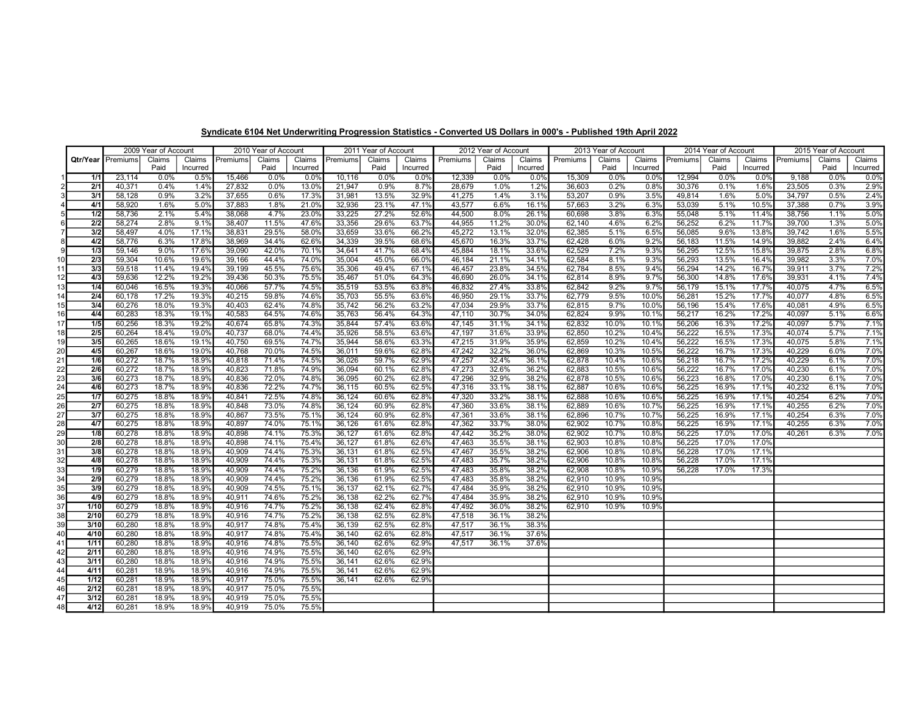|      |                  | 2009 Year of Account |        |          |          | 2010 Year of Account |          | 2011 Year of Account |        |          | 2012 Year of Account |        |          | 2013 Year of Account |        |          | 2014 Year of Account |        |          | 2015 Year of Account |        |          |
|------|------------------|----------------------|--------|----------|----------|----------------------|----------|----------------------|--------|----------|----------------------|--------|----------|----------------------|--------|----------|----------------------|--------|----------|----------------------|--------|----------|
|      | Qtr/Year         | Premiums             | Claims | Claims   | Premiums | Claims               | Claims   | Premiums             | Claims | Claims   | Premiums             | Claims | Claims   | Premiums             | Claims | Claims   | Premiums             | Claims | Claims   | Premiums             | Claims | Claims   |
|      |                  |                      | Paid   | Incurred |          | Paid                 | Incurred |                      | Paid   | Incurred |                      | Paid   | Incurred |                      | Paid   | Incurred |                      | Paid   | Incurred |                      | Paid   | Incurred |
|      | 1/1              | 23,114               | 0.0%   | 0.5%     | 15,466   | 0.0%                 | 0.0%     | 10,116               | 0.0%   | 0.0%     | 12,339               | 0.0%   | 0.0%     | 15,309               | 0.0%   | 0.0%     | 12,994               | 0.0%   | 0.0%     | 9,188                | 0.0%   | 0.0%     |
|      | 2/1              | 40,371               | 0.4%   | 1.4%     | 27,832   | 0.0%                 | 13.0%    | 21,947               | 0.9%   | 8.7%     | 28,679               | 1.0%   | 1.2%     | 36,603               | 0.2%   | 0.8%     | 30,376               | 0.1%   | 1.6%     | 23,505               | 0.3%   | 2.9%     |
|      | 3/1              | 58,128               | 0.9%   | 3.2%     | 37,655   | 0.6%                 | 17.3%    | 31,981               | 13.5%  | 32.9%    | 41,275               | 1.4%   | 3.1%     | 53,207               | 0.9%   | 3.5%     | 49,814               | 1.6%   | 5.0%     | 34,797               | 0.5%   | 2.4%     |
|      | 4/1              | 58,920               | 1.6%   | 5.0%     | 37,883   | 1.8%                 | 21.0%    | 32,936               | 23.1%  | 47.1%    | 43,577               | 6.6%   | 16.1%    | 57,663               | 3.2%   | 6.3%     | 53,039               | 5.1%   | 10.5%    | 37,388               | 0.7%   | 3.9%     |
|      | 1/2              | 58,736               | 2.1%   | 5.4%     | 38,068   | 4.7%                 | 23.0%    | 33,225               | 27.2%  | 52.6%    | 44,500               | 8.0%   | 26.1%    | 60,698               | 3.8%   | 6.3%     | 55,048               | 5.1%   | 11.4%    | 38,756               | 1.1%   | 5.0%     |
|      | 2/2              | 58,274               | 2.8%   | 9.1%     | 38,407   | 11.5%                | 47.6%    | 33,356               | 29.6%  | 63.7%    | 44,955               | 11.2%  | 30.0%    | 62,140               | 4.6%   | 6.2%     | 56,252               | 6.2%   | 11.7%    | 39,700               | 1.3%   | 5.0%     |
|      | 3/2              | 58,497               | 4.0%   | 17.1%    | 38,831   | 29.5%                | 58.0%    | 33,659               | 33.6%  | 66.2%    | 45,272               | 13.1%  | 32.0%    | 62,385               | 5.1%   | 6.5%     | 56,085               | 9.6%   | 13.8%    | 39,742               | 1.6%   | 5.5%     |
|      | 4/2              | 58,776               | 6.3%   | 17.8%    | 38,969   | 34.4%                | 62.6%    | 34,339               | 39.5%  | 68.6%    | 45,670               | 16.3%  | 33.7%    | 62,428               | 6.0%   | 9.2%     | 56,183               | 11.5%  | 14.9%    | 39,882               | 2.4%   | 6.4%     |
| 9    | 1/3              | 59.146               | 9.0%   | 17.6%    | 39,090   | 42.0%                | 70.1%    | 34,641               | 41.7%  | 68.4%    | 45,884               | 18.1%  | 33.6%    | 62,529               | 7.2%   | 9.3%     | 56,295               | 12.5%  | 15.8%    | 39,875               | 2.8%   | 6.8%     |
|      | 2/3              | 59,304               | 10.6%  | 19.6%    | 39,166   | 44.4%                | 74.0%    | 35,004               | 45.0%  | 66.0%    | 46,184               | 21.1%  | 34.1%    | 62,584               | 8.1%   | 9.3%     | 56,293               | 13.5%  | 16.4%    | 39,982               | 3.3%   | 7.0%     |
| 11   | 3/3              | 59,518               | 11.4%  | 19.4%    | 39,199   | 45.5%                | 75.6%    | 35,306               | 49.4%  | 67.1%    | 46,457               | 23.8%  | 34.5%    | 62,784               | 8.5%   | 9.4%     | 56,294               | 14.2%  | 16.7%    | 39,911               | 3.7%   | 7.2%     |
| 12   | 4/3              | 59,636               | 12.2%  | 19.2%    | 39,436   | 50.3%                | 75.5%    | 35,467               | 51.0%  | 64.3%    | 46,690               | 26.0%  | 34.1%    | 62,814               | 8.9%   | 9.7%     | 56,300               | 14.8%  | 17.6%    | 39,931               | 4.1%   | 7.4%     |
| 13   | 1/4              | 60,046               | 16.5%  | 19.3%    | 40,066   | 57.7%                | 74.5%    | 35,519               | 53.5%  | 63.8%    | 46,832               | 27.4%  | 33.8%    | 62,842               | 9.2%   | 9.7%     | 56,179               | 15.1%  | 17.7%    | 40,075               | 4.7%   | 6.5%     |
|      | 2/4              | 60,178               | 17.2%  | 19.3%    | 40,215   | 59.8%                | 74.6%    | 35,703               | 55.5%  | 63.6%    | 46,950               | 29.1%  | 33.7%    | 62,779               | 9.5%   | 10.0%    | 56,281               | 15.2%  | 17.7%    | 40,077               | 4.8%   | 6.5%     |
|      | 3/4              | 60,276               | 18.0%  | 19.3%    | 40,403   | 62.4%                | 74.8%    | 35,742               | 56.2%  | 63.2%    | 47,034               | 29.9%  | 33.7%    | 62,815               | 9.7%   | 10.0%    | 56,196               | 15.4%  | 17.6%    | 40,081               | 4.9%   | 6.5%     |
| 16   | 4/4              | 60,283               | 18.3%  | 19.1%    | 40,583   | 64.5%                | 74.6%    | 35,763               | 56.4%  | 64.3%    | 47,110               | 30.7%  | 34.0%    | 62,824               | 9.9%   | 10.1%    | 56,217               | 16.2%  | 17.2%    | 40,097               | 5.1%   | 6.6%     |
| 17   | 1/5              | 60,256               | 18.3%  | 19.2%    | 40,674   | 65.8%                | 74.3%    | 35,844               | 57.4%  | 63.6%    | 47.145               | 31.1%  | 34.1%    | 62,832               | 10.0%  | 10.1%    | 56,206               | 16.3%  | 17.2%    | 40,097               | 5.7%   | 7.1%     |
| 18 I | 2/5              | 60,264               | 18.4%  | 19.0%    | 40,737   | 68.0%                | 74.4%    | 35,926               | 58.5%  | 63.6%    | 47,197               | 31.6%  | 33.9%    | 62,850               | 10.2%  | 10.4%    | 56,222               | 16.5%  | 17.3%    | 40,074               | 5.7%   | 7.1%     |
| 19   | 3/5              | 60,265               | 18.6%  | 19.1%    | 40,750   | 69.5%                | 74.7%    | 35,944               | 58.6%  | 63.3%    | 47,215               | 31.9%  | 35.9%    | 62,859               | 10.2%  | 10.4%    | 56,222               | 16.5%  | 17.3%    | 40,075               | 5.8%   | 7.1%     |
|      |                  |                      |        |          |          |                      |          |                      |        |          |                      |        |          |                      |        |          | 56,222               |        |          | 40,229               |        |          |
| 20   | 4/5              | 60,267               | 18.6%  | 19.0%    | 40,768   | 70.0%                | 74.5%    | 36,011               | 59.6%  | 62.8%    | 47,242               | 32.2%  | 36.0%    | 62,869               | 10.3%  | 10.5%    |                      | 16.7%  | 17.3%    |                      | 6.0%   | 7.0%     |
| 21   | 1/6              | 60,272               | 18.7%  | 18.9%    | 40,818   | 71.4%                | 74.5%    | 36,026               | 59.7%  | 62.9%    | 47.257               | 32.4%  | 36.1%    | 62,878               | 10.4%  | 10.6%    | 56,218               | 16.7%  | 17.2%    | 40,229               | 6.1%   | 7.0%     |
| 22   | 2/6              | 60,272               | 18.7%  | 18.9%    | 40,823   | 71.8%                | 74.9%    | 36,094               | 60.1%  | 62.8%    | 47,273               | 32.6%  | 36.2%    | 62,883               | 10.5%  | 10.6%    | 56,222               | 16.7%  | 17.0%    | 40,230               | 6.1%   | 7.0%     |
| 23   | 3/6              | 60,273               | 18.7%  | 18.9%    | 40,836   | 72.0%                | 74.8%    | 36,095               | 60.2%  | 62.8%    | 47,296               | 32.9%  | 38.2%    | 62,878               | 10.5%  | 10.6%    | 56,223               | 16.8%  | 17.0%    | 40,230               | 6.1%   | 7.0%     |
| 24   | 4/6              | 60,273               | 18.7%  | 18.9%    | 40,836   | 72.2%                | 74.7%    | 36,115               | 60.5%  | 62.5%    | 47,316               | 33.1%  | 38.1%    | 62,887               | 10.6%  | 10.6%    | 56,225               | 16.9%  | 17.1%    | 40,232               | 6.1%   | 7.0%     |
| 25   | 1/7              | 60,275               | 18.8%  | 18.9%    | 40.841   | 72.5%                | 74.8%    | 36,124               | 60.6%  | 62.8%    | 47,320               | 33.2%  | 38.1%    | 62,888               | 10.6%  | 10.6%    | 56,225               | 16.9%  | 17.1%    | 40,254               | 6.2%   | 7.0%     |
| 26   | 2/7              | 60,275               | 18.8%  | 18.9%    | 40,848   | 73.0%                | 74.8%    | 36,124               | 60.9%  | 62.8%    | 47,360               | 33.6%  | 38.1%    | 62,889               | 10.6%  | 10.7%    | 56,225               | 16.9%  | 17.1%    | 40,255               | 6.2%   | 7.0%     |
| 27   | 3/7              | 60,275               | 18.8%  | 18.9%    | 40,867   | 73.5%                | 75.1%    | 36,124               | 60.9%  | 62.8%    | 47,361               | 33.6%  | 38.1%    | 62,896               | 10.7%  | 10.7%    | 56,225               | 16.9%  | 17.1%    | 40,254               | 6.3%   | 7.0%     |
| 28   | 4/7              | 60,275               | 18.8%  | 18.9%    | 40,897   | 74.0%                | 75.1%    | 36,126               | 61.6%  | 62.8%    | 47,362               | 33.7%  | 38.0%    | 62,902               | 10.7%  | 10.8%    | 56,225               | 16.9%  | 17.1%    | 40,255               | 6.3%   | 7.0%     |
| 29   | 1/8              | 60,278               | 18.8%  | 18.9%    | 40,898   | 74.1%                | 75.3%    | 36,127               | 61.6%  | 62.8%    | 47,442               | 35.2%  | 38.0%    | 62,902               | 10.7%  | 10.8%    | 56,225               | 17.0%  | 17.0%    | 40,261               | 6.3%   | 7.0%     |
| 30   | $\overline{2/8}$ | 60,278               | 18.8%  | 18.9%    | 40,898   | 74.1%                | 75.4%    | 36,127               | 61.8%  | 62.6%    | 47.463               | 35.5%  | 38.1%    | 62,903               | 10.8%  | 10.8%    | 56,225               | 17.0%  | 17.0%    |                      |        |          |
| 31   | 3/8              | 60,278               | 18.8%  | 18.9%    | 40,909   | 74.4%                | 75.3%    | 36,131               | 61.8%  | 62.5%    | 47,467               | 35.5%  | 38.2%    | 62,906               | 10.8%  | 10.8%    | 56,228               | 17.0%  | 17.1%    |                      |        |          |
| 32   | 4/8              | 60,278               | 18.8%  | 18.9%    | 40,909   | 74.4%                | 75.3%    | 36,131               | 61.8%  | 62.5%    | 47,483               | 35.7%  | 38.2%    | 62,906               | 10.8%  | 10.8%    | 56,228               | 17.0%  | 17.1%    |                      |        |          |
| 33   | 1/9              | 60,279               | 18.8%  | 18.9%    | 40,909   | 74.4%                | 75.2%    | 36,136               | 61.9%  | 62.5%    | 47,483               | 35.8%  | 38.2%    | 62,908               | 10.8%  | 10.9%    | 56,228               | 17.0%  | 17.3%    |                      |        |          |
| 34   | 2/9              | 60,279               | 18.8%  | 18.9%    | 40,909   | 74.4%                | 75.2%    | 36,136               | 61.9%  | 62.5%    | 47,483               | 35.8%  | 38.2%    | 62,910               | 10.9%  | 10.9%    |                      |        |          |                      |        |          |
| 35   | 3/9              | 60,279               | 18.8%  | 18.9%    | 40,909   | 74.5%                | 75.1%    | 36,137               | 62.1%  | 62.7%    | 47,484               | 35.9%  | 38.2%    | 62,910               | 10.9%  | 10.9%    |                      |        |          |                      |        |          |
| 36   | 4/9              | 60,279               | 18.8%  | 18.9%    | 40,911   | 74.6%                | 75.2%    | 36,138               | 62.2%  | 62.7%    | 47,484               | 35.9%  | 38.2%    | 62,910               | 10.9%  | 10.9%    |                      |        |          |                      |        |          |
| 37   | 1/10             | 60,279               | 18.8%  | 18.9%    | 40,916   | 74.7%                | 75.2%    | 36,138               | 62.4%  | 62.8%    | 47,492               | 36.0%  | 38.2%    | 62,910               | 10.9%  | 10.9%    |                      |        |          |                      |        |          |
| 38   | 2/10             | 60,279               | 18.8%  | 18.9%    | 40,916   | 74.7%                | 75.2%    | 36,138               | 62.5%  | 62.8%    | 47,518               | 36.1%  | 38.2%    |                      |        |          |                      |        |          |                      |        |          |
| 39   | 3/10             | 60,280               | 18.8%  | 18.9%    | 40,917   | 74.8%                | 75.4%    | 36,139               | 62.5%  | 62.8%    | 47,517               | 36.1%  | 38.3%    |                      |        |          |                      |        |          |                      |        |          |
| 40   | 4/10             | 60,280               | 18.8%  | 18.9%    | 40,917   | 74.8%                | 75.4%    | 36,140               | 62.6%  | 62.8%    | 47,517               | 36.1%  | 37.6%    |                      |        |          |                      |        |          |                      |        |          |
| 41   | 1/11             | 60,280               | 18.8%  | 18.9%    | 40,916   | 74.8%                | 75.5%    | 36,140               | 62.6%  | 62.9%    | 47,517               | 36.1%  | 37.6%    |                      |        |          |                      |        |          |                      |        |          |
| 42   | 2/11             | 60,280               | 18.8%  | 18.9%    | 40,916   | 74.9%                | 75.5%    | 36,140               | 62.6%  | 62.9%    |                      |        |          |                      |        |          |                      |        |          |                      |        |          |
| 43   | 3/11             | 60.280               | 18.8%  | 18.9%    | 40,916   | 74.9%                | 75.5%    | 36,141               | 62.6%  | 62.9%    |                      |        |          |                      |        |          |                      |        |          |                      |        |          |
| 44   | 4/11             | 60,281               | 18.9%  | 18.9%    | 40,916   | 74.9%                | 75.5%    | 36,141               | 62.6%  | 62.9%    |                      |        |          |                      |        |          |                      |        |          |                      |        |          |
| 45   | 1/12             | 60,281               | 18.9%  | 18.9%    | 40,917   | 75.0%                | 75.5%    | 36,141               | 62.6%  | 62.9%    |                      |        |          |                      |        |          |                      |        |          |                      |        |          |
| 46   | 2/12             | 60,281               | 18.9%  | 18.9%    | 40,917   | 75.0%                | 75.5%    |                      |        |          |                      |        |          |                      |        |          |                      |        |          |                      |        |          |
| 47   | 3/12             | 60,281               | 18.9%  | 18.9%    | 40,919   | 75.0%                | 75.5%    |                      |        |          |                      |        |          |                      |        |          |                      |        |          |                      |        |          |
| 48   | 4/12             | 60,281               | 18.9%  | 18.9%    | 40,919   | 75.0%                | 75.5%    |                      |        |          |                      |        |          |                      |        |          |                      |        |          |                      |        |          |

Syndicate 6104 Net Underwriting Progression Statistics - Converted US Dollars in 000's - Published 19th April 2022